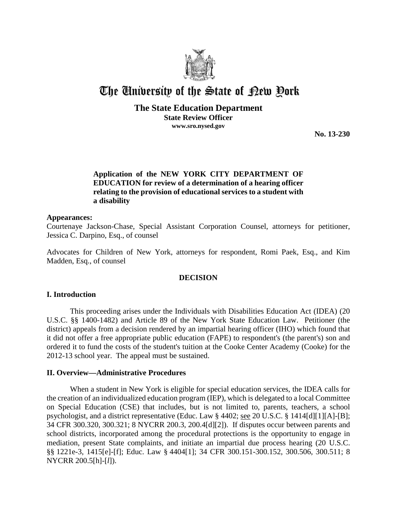

# The University of the State of Pew Pork

# **The State Education Department**

**State Review Officer www.sro.nysed.gov**

**No. 13-230** 

# **Application of the NEW YORK CITY DEPARTMENT OF EDUCATION for review of a determination of a hearing officer relating to the provision of educational services to a student with a disability**

# **Appearances:**

Courtenaye Jackson-Chase, Special Assistant Corporation Counsel, attorneys for petitioner, Jessica C. Darpino, Esq., of counsel

Advocates for Children of New York, attorneys for respondent, Romi Paek, Esq., and Kim Madden, Esq., of counsel

# **DECISION**

# **I. Introduction**

This proceeding arises under the Individuals with Disabilities Education Act (IDEA) (20 U.S.C. §§ 1400-1482) and Article 89 of the New York State Education Law. Petitioner (the district) appeals from a decision rendered by an impartial hearing officer (IHO) which found that it did not offer a free appropriate public education (FAPE) to respondent's (the parent's) son and ordered it to fund the costs of the student's tuition at the Cooke Center Academy (Cooke) for the 2012-13 school year. The appeal must be sustained.

# **II. Overview—Administrative Procedures**

When a student in New York is eligible for special education services, the IDEA calls for the creation of an individualized education program (IEP), which is delegated to a local Committee on Special Education (CSE) that includes, but is not limited to, parents, teachers, a school psychologist, and a district representative (Educ. Law § 4402; see 20 U.S.C. § 1414[d][1][A]-[B]; 34 CFR 300.320, 300.321; 8 NYCRR 200.3, 200.4[d][2]). If disputes occur between parents and school districts, incorporated among the procedural protections is the opportunity to engage in mediation, present State complaints, and initiate an impartial due process hearing (20 U.S.C. §§ 1221e-3, 1415[e]-[f]; Educ. Law § 4404[1]; 34 CFR 300.151-300.152, 300.506, 300.511; 8 NYCRR 200.5[h]-[*l*]).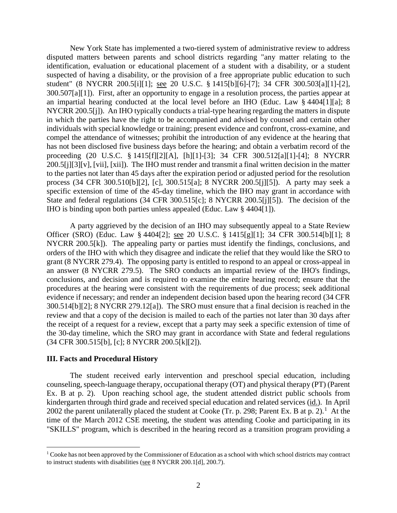New York State has implemented a two-tiered system of administrative review to address disputed matters between parents and school districts regarding "any matter relating to the identification, evaluation or educational placement of a student with a disability, or a student suspected of having a disability, or the provision of a free appropriate public education to such student" (8 NYCRR 200.5[i][1]; see 20 U.S.C. § 1415[b][6]-[7]; 34 CFR 300.503[a][1]-[2], 300.507[a][1]). First, after an opportunity to engage in a resolution process, the parties appear at an impartial hearing conducted at the local level before an IHO (Educ. Law § 4404[1][a]; 8 NYCRR 200.5[j]). An IHO typically conducts a trial-type hearing regarding the matters in dispute in which the parties have the right to be accompanied and advised by counsel and certain other individuals with special knowledge or training; present evidence and confront, cross-examine, and compel the attendance of witnesses; prohibit the introduction of any evidence at the hearing that has not been disclosed five business days before the hearing; and obtain a verbatim record of the proceeding (20 U.S.C. § 1415[f][2][A], [h][1]-[3]; 34 CFR 300.512[a][1]-[4]; 8 NYCRR 200.5[j][3][v], [vii], [xii]). The IHO must render and transmit a final written decision in the matter to the parties not later than 45 days after the expiration period or adjusted period for the resolution process (34 CFR 300.510[b][2], [c], 300.515[a]; 8 NYCRR 200.5[j][5]). A party may seek a specific extension of time of the 45-day timeline, which the IHO may grant in accordance with State and federal regulations (34 CFR 300.515[c]; 8 NYCRR 200.5[j][5]). The decision of the IHO is binding upon both parties unless appealed (Educ. Law § 4404[1]).

A party aggrieved by the decision of an IHO may subsequently appeal to a State Review Officer (SRO) (Educ. Law § 4404[2]; see 20 U.S.C. § 1415[g][1]; 34 CFR 300.514[b][1]; 8 NYCRR 200.5[k]). The appealing party or parties must identify the findings, conclusions, and orders of the IHO with which they disagree and indicate the relief that they would like the SRO to grant (8 NYCRR 279.4). The opposing party is entitled to respond to an appeal or cross-appeal in an answer (8 NYCRR 279.5). The SRO conducts an impartial review of the IHO's findings, conclusions, and decision and is required to examine the entire hearing record; ensure that the procedures at the hearing were consistent with the requirements of due process; seek additional evidence if necessary; and render an independent decision based upon the hearing record (34 CFR 300.514[b][2]; 8 NYCRR 279.12[a]). The SRO must ensure that a final decision is reached in the review and that a copy of the decision is mailed to each of the parties not later than 30 days after the receipt of a request for a review, except that a party may seek a specific extension of time of the 30-day timeline, which the SRO may grant in accordance with State and federal regulations (34 CFR 300.515[b], [c]; 8 NYCRR 200.5[k][2]).

#### **III. Facts and Procedural History**

The student received early intervention and preschool special education, including counseling, speech-language therapy, occupational therapy (OT) and physical therapy (PT) (Parent Ex. B at p. 2). Upon reaching school age, the student attended district public schools from kindergarten through third grade and received special education and related services (id.). In April 2002 the parent unilaterally placed the student at Cooke (Tr. p. 298; Parent Ex. B at p. 2).<sup>1</sup> At the time of the March 2012 CSE meeting, the student was attending Cooke and participating in its "SKILLS" program, which is described in the hearing record as a transition program providing a

 <sup>1</sup> Cooke has not been approved by the Commissioner of Education as a school with which school districts may contract to instruct students with disabilities (see 8 NYCRR 200.1[d], 200.7).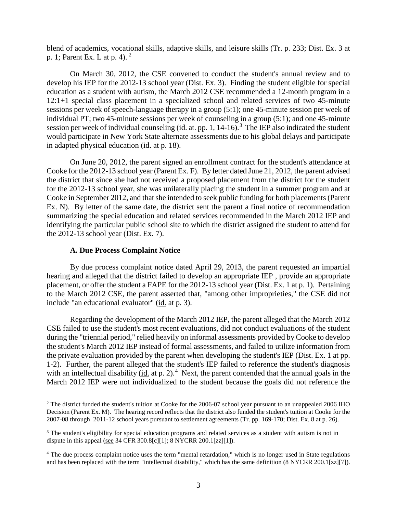blend of academics, vocational skills, adaptive skills, and leisure skills (Tr. p. 233; Dist. Ex. 3 at p. 1; Parent Ex. L at p. 4). <sup>2</sup>

On March 30, 2012, the CSE convened to conduct the student's annual review and to develop his IEP for the 2012-13 school year (Dist. Ex. 3). Finding the student eligible for special education as a student with autism, the March 2012 CSE recommended a 12-month program in a 12:1+1 special class placement in a specialized school and related services of two 45-minute sessions per week of speech-language therapy in a group (5:1); one 45-minute session per week of individual PT; two 45-minute sessions per week of counseling in a group (5:1); and one 45-minute session per week of individual counseling ( $\underline{id}$ , at. pp. 1, 14-16).<sup>3</sup> The IEP also indicated the student would participate in New York State alternate assessments due to his global delays and participate in adapted physical education (id. at p. 18).

On June 20, 2012, the parent signed an enrollment contract for the student's attendance at Cooke for the 2012-13 school year (Parent Ex. F). By letter dated June 21, 2012, the parent advised the district that since she had not received a proposed placement from the district for the student for the 2012-13 school year, she was unilaterally placing the student in a summer program and at Cooke in September 2012, and that she intended to seek public funding for both placements(Parent Ex. N). By letter of the same date, the district sent the parent a final notice of recommendation summarizing the special education and related services recommended in the March 2012 IEP and identifying the particular public school site to which the district assigned the student to attend for the 2012-13 school year (Dist. Ex. 7).

#### **A. Due Process Complaint Notice**

By due process complaint notice dated April 29, 2013, the parent requested an impartial hearing and alleged that the district failed to develop an appropriate IEP , provide an appropriate placement, or offer the student a FAPE for the 2012-13 school year (Dist. Ex. 1 at p. 1). Pertaining to the March 2012 CSE, the parent asserted that, "among other improprieties," the CSE did not include "an educational evaluator" (id. at p. 3).

Regarding the development of the March 2012 IEP, the parent alleged that the March 2012 CSE failed to use the student's most recent evaluations, did not conduct evaluations of the student during the "triennial period," relied heavily on informal assessments provided by Cooke to develop the student's March 2012 IEP instead of formal assessments, and failed to utilize information from the private evaluation provided by the parent when developing the student's IEP (Dist. Ex. 1 at pp. 1-2). Further, the parent alleged that the student's IEP failed to reference the student's diagnosis with an intellectual disability ( $\underline{\text{id}}$  at p. 2).<sup>4</sup> Next, the parent contended that the annual goals in the March 2012 IEP were not individualized to the student because the goals did not reference the

<sup>&</sup>lt;sup>2</sup> The district funded the student's tuition at Cooke for the 2006-07 school year pursuant to an unappealed 2006 IHO Decision (Parent Ex. M). The hearing record reflects that the district also funded the student's tuition at Cooke for the 2007-08 through 2011-12 school years pursuant to settlement agreements (Tr. pp. 169-170; Dist. Ex. 8 at p. 26).

<sup>&</sup>lt;sup>3</sup> The student's eligibility for special education programs and related services as a student with autism is not in dispute in this appeal (see 34 CFR 300.8[c][1]; 8 NYCRR 200.1[zz][1]).

<sup>4</sup> The due process complaint notice uses the term "mental retardation," which is no longer used in State regulations and has been replaced with the term "intellectual disability," which has the same definition (8 NYCRR 200.1[zz][7]).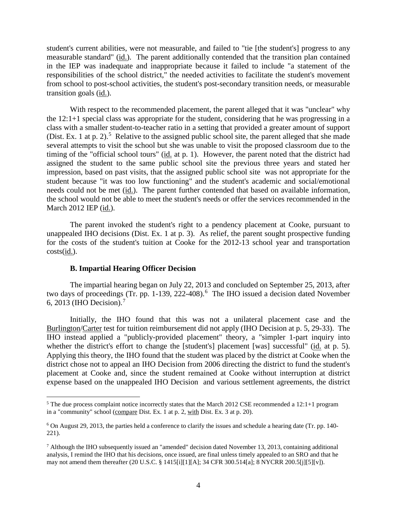student's current abilities, were not measurable, and failed to "tie [the student's] progress to any measurable standard" (id.). The parent additionally contended that the transition plan contained in the IEP was inadequate and inappropriate because it failed to include "a statement of the responsibilities of the school district," the needed activities to facilitate the student's movement from school to post-school activities, the student's post-secondary transition needs, or measurable transition goals (id.).

With respect to the recommended placement, the parent alleged that it was "unclear" why the 12:1+1 special class was appropriate for the student, considering that he was progressing in a class with a smaller student-to-teacher ratio in a setting that provided a greater amount of support (Dist. Ex. 1 at p. 2).<sup>5</sup> Relative to the assigned public school site, the parent alleged that she made several attempts to visit the school but she was unable to visit the proposed classroom due to the timing of the "official school tours" (id. at p. 1). However, the parent noted that the district had assigned the student to the same public school site the previous three years and stated her impression, based on past visits, that the assigned public school site was not appropriate for the student because "it was too low functioning" and the student's academic and social/emotional needs could not be met (id.). The parent further contended that based on available information, the school would not be able to meet the student's needs or offer the services recommended in the March 2012 IEP (id.).

The parent invoked the student's right to a pendency placement at Cooke, pursuant to unappealed IHO decisions (Dist. Ex. 1 at p. 3). As relief, the parent sought prospective funding for the costs of the student's tuition at Cooke for the 2012-13 school year and transportation costs(id.).

#### **B. Impartial Hearing Officer Decision**

The impartial hearing began on July 22, 2013 and concluded on September 25, 2013, after two days of proceedings (Tr. pp. 1-139, 222-408).<sup>6</sup> The IHO issued a decision dated November 6, 2013 (IHO Decision).<sup>7</sup>

Initially, the IHO found that this was not a unilateral placement case and the Burlington/Carter test for tuition reimbursement did not apply (IHO Decision at p. 5, 29-33). The IHO instead applied a "publicly-provided placement" theory, a "simpler 1-part inquiry into whether the district's effort to change the [student's] placement [was] successful" (id. at p. 5). Applying this theory, the IHO found that the student was placed by the district at Cooke when the district chose not to appeal an IHO Decision from 2006 directing the district to fund the student's placement at Cooke and, since the student remained at Cooke without interruption at district expense based on the unappealed IHO Decision and various settlement agreements, the district

<sup>&</sup>lt;sup>5</sup> The due process complaint notice incorrectly states that the March 2012 CSE recommended a 12:1+1 program in a "community" school (compare Dist. Ex. 1 at p. 2, with Dist. Ex. 3 at p. 20).

<sup>6</sup> On August 29, 2013, the parties held a conference to clarify the issues and schedule a hearing date (Tr. pp. 140- 221).

 $^7$  Although the IHO subsequently issued an "amended" decision dated November 13, 2013, containing additional analysis, I remind the IHO that his decisions, once issued, are final unless timely appealed to an SRO and that he may not amend them thereafter (20 U.S.C. § 1415[i][1][A]; 34 CFR 300.514[a]; 8 NYCRR 200.5[j][5][v]).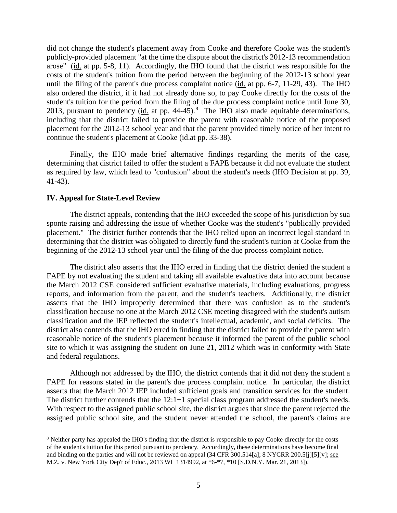did not change the student's placement away from Cooke and therefore Cooke was the student's publicly-provided placement "at the time the dispute about the district's 2012-13 recommendation arose" (id. at pp. 5-8, 11). Accordingly, the IHO found that the district was responsible for the costs of the student's tuition from the period between the beginning of the 2012-13 school year until the filing of the parent's due process complaint notice (id. at pp. 6-7, 11-29, 43). The IHO also ordered the district, if it had not already done so, to pay Cooke directly for the costs of the student's tuition for the period from the filing of the due process complaint notice until June 30, 2013, pursuant to pendency ( $\underline{\text{id}}$  at pp. 44-45).<sup>8</sup> The IHO also made equitable determinations, including that the district failed to provide the parent with reasonable notice of the proposed placement for the 2012-13 school year and that the parent provided timely notice of her intent to continue the student's placement at Cooke (id.at pp. 33-38).

Finally, the IHO made brief alternative findings regarding the merits of the case, determining that district failed to offer the student a FAPE because it did not evaluate the student as required by law, which lead to "confusion" about the student's needs (IHO Decision at pp. 39, 41-43).

#### **IV. Appeal for State-Level Review**

The district appeals, contending that the IHO exceeded the scope of his jurisdiction by sua sponte raising and addressing the issue of whether Cooke was the student's "publically provided placement." The district further contends that the IHO relied upon an incorrect legal standard in determining that the district was obligated to directly fund the student's tuition at Cooke from the beginning of the 2012-13 school year until the filing of the due process complaint notice.

The district also asserts that the IHO erred in finding that the district denied the student a FAPE by not evaluating the student and taking all available evaluative data into account because the March 2012 CSE considered sufficient evaluative materials, including evaluations, progress reports, and information from the parent, and the student's teachers. Additionally, the district asserts that the IHO improperly determined that there was confusion as to the student's classification because no one at the March 2012 CSE meeting disagreed with the student's autism classification and the IEP reflected the student's intellectual, academic, and social deficits. The district also contends that the IHO erred in finding that the district failed to provide the parent with reasonable notice of the student's placement because it informed the parent of the public school site to which it was assigning the student on June 21, 2012 which was in conformity with State and federal regulations.

Although not addressed by the IHO, the district contends that it did not deny the student a FAPE for reasons stated in the parent's due process complaint notice. In particular, the district asserts that the March 2012 IEP included sufficient goals and transition services for the student. The district further contends that the 12:1+1 special class program addressed the student's needs. With respect to the assigned public school site, the district argues that since the parent rejected the assigned public school site, and the student never attended the school, the parent's claims are

 <sup>8</sup> Neither party has appealed the IHO's finding that the district is responsible to pay Cooke directly for the costs of the student's tuition for this period pursuant to pendency. Accordingly, these determinations have become final and binding on the parties and will not be reviewed on appeal (34 CFR 300.514[a]; 8 NYCRR 200.5[j][5][v]; see M.Z. v. New York City Dep't of Educ., 2013 WL 1314992, at \*6-\*7, \*10 [S.D.N.Y. Mar. 21, 2013]).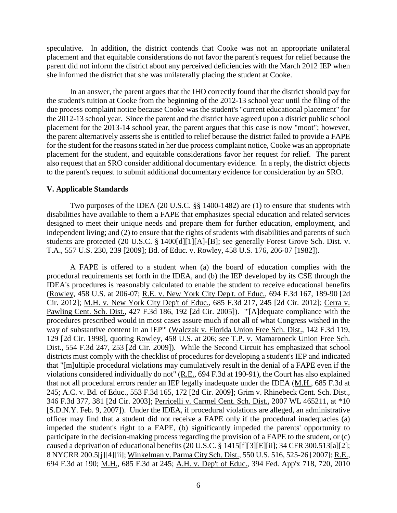speculative. In addition, the district contends that Cooke was not an appropriate unilateral placement and that equitable considerations do not favor the parent's request for relief because the parent did not inform the district about any perceived deficiencies with the March 2012 IEP when she informed the district that she was unilaterally placing the student at Cooke.

In an answer, the parent argues that the IHO correctly found that the district should pay for the student's tuition at Cooke from the beginning of the 2012-13 school year until the filing of the due process complaint notice because Cooke was the student's "current educational placement" for the 2012-13 school year. Since the parent and the district have agreed upon a district public school placement for the 2013-14 school year, the parent argues that this case is now "moot"; however, the parent alternatively asserts she is entitled to relief because the district failed to provide a FAPE for the student for the reasons stated in her due process complaint notice, Cooke was an appropriate placement for the student, and equitable considerations favor her request for relief. The parent also request that an SRO consider additional documentary evidence. In a reply, the district objects to the parent's request to submit additional documentary evidence for consideration by an SRO.

#### **V. Applicable Standards**

Two purposes of the IDEA (20 U.S.C. §§ 1400-1482) are (1) to ensure that students with disabilities have available to them a FAPE that emphasizes special education and related services designed to meet their unique needs and prepare them for further education, employment, and independent living; and (2) to ensure that the rights of students with disabilities and parents of such students are protected (20 U.S.C. § 1400[d][1][A]-[B]; see generally Forest Grove Sch. Dist. v. T.A., 557 U.S. 230, 239 [2009]; Bd. of Educ. v. Rowley, 458 U.S. 176, 206-07 [1982]).

A FAPE is offered to a student when (a) the board of education complies with the procedural requirements set forth in the IDEA, and (b) the IEP developed by its CSE through the IDEA's procedures is reasonably calculated to enable the student to receive educational benefits (Rowley, 458 U.S. at 206-07; R.E. v. New York City Dep't. of Educ., 694 F.3d 167, 189-90 [2d Cir. 2012]; M.H. v. New York City Dep't of Educ., 685 F.3d 217, 245 [2d Cir. 2012]; Cerra v. Pawling Cent. Sch. Dist., 427 F.3d 186, 192 [2d Cir. 2005]). "'[A]dequate compliance with the procedures prescribed would in most cases assure much if not all of what Congress wished in the way of substantive content in an IEP'" (Walczak v. Florida Union Free Sch. Dist., 142 F.3d 119, 129 [2d Cir. 1998], quoting Rowley, 458 U.S. at 206; see T.P. v. Mamaroneck Union Free Sch. Dist., 554 F.3d 247, 253 [2d Cir. 2009]). While the Second Circuit has emphasized that school districts must comply with the checklist of procedures for developing a student's IEP and indicated that "[m]ultiple procedural violations may cumulatively result in the denial of a FAPE even if the violations considered individually do not" (R.E., 694 F.3d at 190-91), the Court has also explained that not all procedural errors render an IEP legally inadequate under the IDEA (M.H., 685 F.3d at 245; A.C. v. Bd. of Educ., 553 F.3d 165, 172 [2d Cir. 2009]; Grim v. Rhinebeck Cent. Sch. Dist., 346 F.3d 377, 381 [2d Cir. 2003]; Perricelli v. Carmel Cent. Sch. Dist., 2007 WL 465211, at \*10 [S.D.N.Y. Feb. 9, 2007]). Under the IDEA, if procedural violations are alleged, an administrative officer may find that a student did not receive a FAPE only if the procedural inadequacies (a) impeded the student's right to a FAPE, (b) significantly impeded the parents' opportunity to participate in the decision-making process regarding the provision of a FAPE to the student, or (c) caused a deprivation of educational benefits (20 U.S.C. § 1415[f][3][E][ii]; 34 CFR 300.513[a][2]; 8 NYCRR 200.5[j][4][ii]; Winkelman v. Parma City Sch. Dist., 550 U.S. 516, 525-26 [2007]; R.E., 694 F.3d at 190; M.H., 685 F.3d at 245; A.H. v. Dep't of Educ., 394 Fed. App'x 718, 720, 2010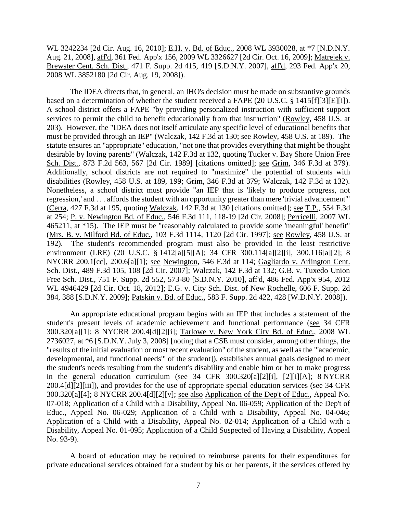WL 3242234 [2d Cir. Aug. 16, 2010]; E.H. v. Bd. of Educ., 2008 WL 3930028, at \*7 [N.D.N.Y. Aug. 21, 2008], aff'd, 361 Fed. App'x 156, 2009 WL 3326627 [2d Cir. Oct. 16, 2009]; Matrejek v. Brewster Cent. Sch. Dist., 471 F. Supp. 2d 415, 419 [S.D.N.Y. 2007], aff'd, 293 Fed. App'x 20, 2008 WL 3852180 [2d Cir. Aug. 19, 2008]).

The IDEA directs that, in general, an IHO's decision must be made on substantive grounds based on a determination of whether the student received a FAPE (20 U.S.C. § 1415[f][3][E][i]). A school district offers a FAPE "by providing personalized instruction with sufficient support services to permit the child to benefit educationally from that instruction" (Rowley, 458 U.S. at 203). However, the "IDEA does not itself articulate any specific level of educational benefits that must be provided through an IEP" (Walczak, 142 F.3d at 130; see Rowley, 458 U.S. at 189). The statute ensures an "appropriate" education, "not one that provides everything that might be thought desirable by loving parents" (Walczak, 142 F.3d at 132, quoting Tucker v. Bay Shore Union Free Sch. Dist., 873 F.2d 563, 567 [2d Cir. 1989] [citations omitted]; see Grim, 346 F.3d at 379). Additionally, school districts are not required to "maximize" the potential of students with disabilities (Rowley, 458 U.S. at 189, 199; Grim, 346 F.3d at 379; Walczak, 142 F.3d at 132). Nonetheless, a school district must provide "an IEP that is 'likely to produce progress, not regression,' and . . . affords the student with an opportunity greater than mere 'trivial advancement'" (Cerra, 427 F.3d at 195, quoting Walczak, 142 F.3d at 130 [citations omitted]; see T.P., 554 F.3d at 254; P. v. Newington Bd. of Educ., 546 F.3d 111, 118-19 [2d Cir. 2008]; Perricelli, 2007 WL 465211, at \*15). The IEP must be "reasonably calculated to provide some 'meaningful' benefit" (Mrs. B. v. Milford Bd. of Educ., 103 F.3d 1114, 1120 [2d Cir. 1997]; see Rowley, 458 U.S. at 192). The student's recommended program must also be provided in the least restrictive environment (LRE) (20 U.S.C. § 1412[a][5][A]; 34 CFR 300.114[a][2][i], 300.116[a][2]; 8 NYCRR 200.1[cc], 200.6[a][1]; see Newington, 546 F.3d at 114; Gagliardo v. Arlington Cent. Sch. Dist., 489 F.3d 105, 108 [2d Cir. 2007]; Walczak, 142 F.3d at 132; G.B. v. Tuxedo Union Free Sch. Dist., 751 F. Supp. 2d 552, 573-80 [S.D.N.Y. 2010], aff'd, 486 Fed. App'x 954, 2012 WL 4946429 [2d Cir. Oct. 18, 2012]; E.G. v. City Sch. Dist. of New Rochelle, 606 F. Supp. 2d 384, 388 [S.D.N.Y. 2009]; Patskin v. Bd. of Educ., 583 F. Supp. 2d 422, 428 [W.D.N.Y. 2008]).

An appropriate educational program begins with an IEP that includes a statement of the student's present levels of academic achievement and functional performance (see 34 CFR 300.320[a][1]; 8 NYCRR 200.4[d][2][i]; Tarlowe v. New York City Bd. of Educ., 2008 WL 2736027, at \*6 [S.D.N.Y. July 3, 2008] [noting that a CSE must consider, among other things, the "results of the initial evaluation or most recent evaluation" of the student, as well as the "'academic, developmental, and functional needs'" of the student]), establishes annual goals designed to meet the student's needs resulting from the student's disability and enable him or her to make progress in the general education curriculum (see 34 CFR 300.320[a][2][i], [2][i][A]; 8 NYCRR 200.4[d][2][iii]), and provides for the use of appropriate special education services (see 34 CFR 300.320[a][4]; 8 NYCRR 200.4[d][2][v]; see also Application of the Dep't of Educ., Appeal No. 07-018; Application of a Child with a Disability, Appeal No. 06-059; Application of the Dep't of Educ., Appeal No. 06-029; Application of a Child with a Disability, Appeal No. 04-046; Application of a Child with a Disability, Appeal No. 02-014; Application of a Child with a Disability, Appeal No. 01-095; Application of a Child Suspected of Having a Disability, Appeal No. 93-9).

A board of education may be required to reimburse parents for their expenditures for private educational services obtained for a student by his or her parents, if the services offered by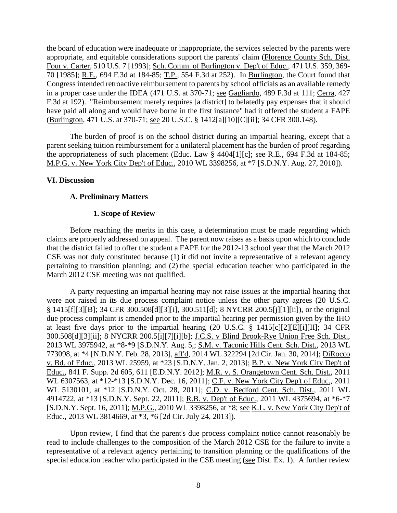the board of education were inadequate or inappropriate, the services selected by the parents were appropriate, and equitable considerations support the parents' claim (Florence County Sch. Dist. Four v. Carter, 510 U.S. 7 [1993]; Sch. Comm. of Burlington v. Dep't of Educ., 471 U.S. 359, 369- 70 [1985]; R.E., 694 F.3d at 184-85; T.P., 554 F.3d at 252). In Burlington, the Court found that Congress intended retroactive reimbursement to parents by school officials as an available remedy in a proper case under the IDEA (471 U.S. at 370-71; see Gagliardo, 489 F.3d at 111; Cerra, 427 F.3d at 192). "Reimbursement merely requires [a district] to belatedly pay expenses that it should have paid all along and would have borne in the first instance" had it offered the student a FAPE (Burlington, 471 U.S. at 370-71; see 20 U.S.C. § 1412[a][10][C][ii]; 34 CFR 300.148).

The burden of proof is on the school district during an impartial hearing, except that a parent seeking tuition reimbursement for a unilateral placement has the burden of proof regarding the appropriateness of such placement (Educ. Law § 4404[1][c]; see R.E., 694 F.3d at 184-85; M.P.G. v. New York City Dep't of Educ., 2010 WL 3398256, at \*7 [S.D.N.Y. Aug. 27, 2010]).

# **VI. Discussion**

# **A. Preliminary Matters**

# **1. Scope of Review**

Before reaching the merits in this case, a determination must be made regarding which claims are properly addressed on appeal. The parent now raises as a basis upon which to conclude that the district failed to offer the student a FAPE for the 2012-13 school year that the March 2012 CSE was not duly constituted because (1) it did not invite a representative of a relevant agency pertaining to transition planning; and (2) the special education teacher who participated in the March 2012 CSE meeting was not qualified.

A party requesting an impartial hearing may not raise issues at the impartial hearing that were not raised in its due process complaint notice unless the other party agrees (20 U.S.C. § 1415[f][3][B]; 34 CFR 300.508[d][3][i], 300.511[d]; 8 NYCRR 200.5[j][1][ii]), or the original due process complaint is amended prior to the impartial hearing per permission given by the IHO at least five days prior to the impartial hearing (20 U.S.C. § 1415[c][2][E][i][II]; 34 CFR 300.508[d][3][ii]; 8 NYCRR 200.5[i][7][i][b]; J.C.S. v Blind Brook-Rye Union Free Sch. Dist., 2013 WL 3975942, at \*8-\*9 [S.D.N.Y. Aug. 5,; S.M. v. Taconic Hills Cent. Sch. Dist., 2013 WL 773098, at \*4 [N.D.N.Y. Feb. 28, 2013], aff'd, 2014 WL 322294 [2d Cir. Jan. 30, 2014]; DiRocco v. Bd. of Educ., 2013 WL 25959, at \*23 [S.D.N.Y. Jan. 2, 2013]; B.P. v. New York City Dep't of Educ., 841 F. Supp. 2d 605, 611 [E.D.N.Y. 2012]; M.R. v. S. Orangetown Cent. Sch. Dist., 2011 WL 6307563, at \*12-\*13 [S.D.N.Y. Dec. 16, 2011]; C.F. v. New York City Dep't of Educ., 2011 WL 5130101, at \*12 [S.D.N.Y. Oct. 28, 2011]; C.D. v. Bedford Cent. Sch. Dist., 2011 WL 4914722, at \*13 [S.D.N.Y. Sept. 22, 2011]; R.B. v. Dep't of Educ., 2011 WL 4375694, at \*6-\*7 [S.D.N.Y. Sept. 16, 2011]; M.P.G., 2010 WL 3398256, at \*8; see K.L. v. New York City Dep't of Educ., 2013 WL 3814669, at \*3, \*6 [2d Cir. July 24, 2013]).

Upon review, I find that the parent's due process complaint notice cannot reasonably be read to include challenges to the composition of the March 2012 CSE for the failure to invite a representative of a relevant agency pertaining to transition planning or the qualifications of the special education teacher who participated in the CSE meeting (see Dist. Ex. 1). A further review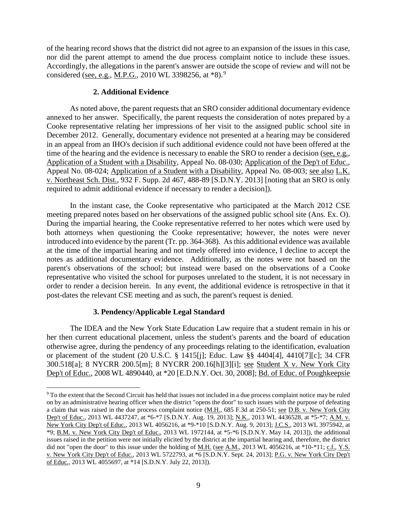of the hearing record shows that the district did not agree to an expansion of the issues in this case, nor did the parent attempt to amend the due process complaint notice to include these issues. Accordingly, the allegations in the parent's answer are outside the scope of review and will not be considered (see, e.g., M.P.G., 2010 WL 3398256, at \*8).<sup>9</sup>

# **2. Additional Evidence**

As noted above, the parent requests that an SRO consider additional documentary evidence annexed to her answer. Specifically, the parent requests the consideration of notes prepared by a Cooke representative relating her impressions of her visit to the assigned public school site in December 2012. Generally, documentary evidence not presented at a hearing may be considered in an appeal from an IHO's decision if such additional evidence could not have been offered at the time of the hearing and the evidence is necessary to enable the SRO to render a decision (see, e.g., Application of a Student with a Disability, Appeal No. 08-030; Application of the Dep't of Educ., Appeal No. 08-024; Application of a Student with a Disability, Appeal No. 08-003; see also L.K. v. Northeast Sch. Dist., 932 F. Supp. 2d 467, 488-89 [S.D.N.Y. 2013] [noting that an SRO is only required to admit additional evidence if necessary to render a decision]).

In the instant case, the Cooke representative who participated at the March 2012 CSE meeting prepared notes based on her observations of the assigned public school site (Ans. Ex. O). During the impartial hearing, the Cooke representative referred to her notes which were used by both attorneys when questioning the Cooke representative; however, the notes were never introduced into evidence by the parent (Tr. pp. 364-368). As this additional evidence was available at the time of the impartial hearing and not timely offered into evidence, I decline to accept the notes as additional documentary evidence. Additionally, as the notes were not based on the parent's observations of the school; but instead were based on the observations of a Cooke representative who visited the school for purposes unrelated to the student, it is not necessary in order to render a decision herein. In any event, the additional evidence is retrospective in that it post-dates the relevant CSE meeting and as such, the parent's request is denied.

# **3. Pendency/Applicable Legal Standard**

The IDEA and the New York State Education Law require that a student remain in his or her then current educational placement, unless the student's parents and the board of education otherwise agree, during the pendency of any proceedings relating to the identification, evaluation or placement of the student (20 U.S.C. § 1415[j]; Educ. Law §§ 4404[4], 4410[7][c]; 34 CFR 300.518[a]; 8 NYCRR 200.5[m]; 8 NYCRR 200.16[h][3][i]; see Student X v. New York City Dep't of Educ., 2008 WL 4890440, at \*20 [E.D.N.Y. Oct. 30, 2008]; Bd. of Educ. of Poughkeepsie

 <sup>9</sup> To the extent that the Second Circuit has held that issues not included in a due process complaint notice may be ruled on by an administrative hearing officer when the district "opens the door" to such issues with the purpose of defeating a claim that was raised in the due process complaint notice (M.H., 685 F.3d at 250-51; see D.B. v. New York City Dep't of Educ., 2013 WL 4437247, at \*6-\*7 [S.D.N.Y. Aug. 19, 2013]; N.K., 2013 WL 4436528, at \*5-\*7; A.M. v. New York City Dep't of Educ., 2013 WL 4056216, at \*9-\*10 [S.D.N.Y. Aug. 9, 2013]; J.C.S., 2013 WL 3975942, at \*9; B.M. v. New York City Dep't of Educ., 2013 WL 1972144, at \*5-\*6 [S.D.N.Y. May 14, 2013]), the additional issues raised in the petition were not initially elicited by the district at the impartial hearing and, therefore, the district did not "open the door" to this issue under the holding of <u>M.H. (see A.M.</u>, 2013 WL 4056216, at \*10-\*11; c.f., Y.S. v. New York City Dep't of Educ., 2013 WL 5722793, at \*6 [S.D.N.Y. Sept. 24, 2013]; P.G. v. New York City Dep't of Educ., 2013 WL 4055697, at \*14 [S.D.N.Y. July 22, 2013]).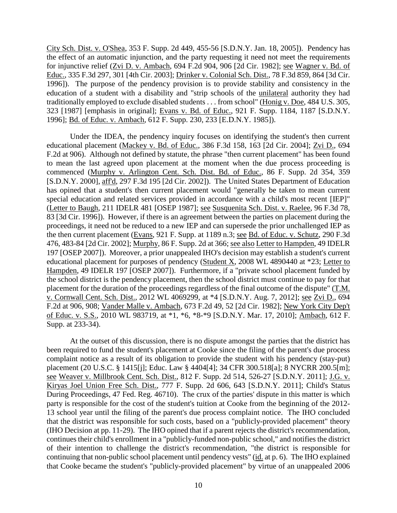City Sch. Dist. v. O'Shea, 353 F. Supp. 2d 449, 455-56 [S.D.N.Y. Jan. 18, 2005]). Pendency has the effect of an automatic injunction, and the party requesting it need not meet the requirements for injunctive relief (Zvi D. v. Ambach, 694 F.2d 904, 906 [2d Cir. 1982]; see Wagner v. Bd. of Educ., 335 F.3d 297, 301 [4th Cir. 2003]; Drinker v. Colonial Sch. Dist., 78 F.3d 859, 864 [3d Cir. 1996]). The purpose of the pendency provision is to provide stability and consistency in the education of a student with a disability and "strip schools of the unilateral authority they had traditionally employed to exclude disabled students . . . from school" (Honig v. Doe, 484 U.S. 305, 323 [1987] [emphasis in original]; Evans v. Bd. of Educ., 921 F. Supp. 1184, 1187 [S.D.N.Y. 1996]; Bd. of Educ. v. Ambach, 612 F. Supp. 230, 233 [E.D.N.Y. 1985]).

Under the IDEA, the pendency inquiry focuses on identifying the student's then current educational placement (Mackey v. Bd. of Educ., 386 F.3d 158, 163 [2d Cir. 2004]; Zvi D., 694 F.2d at 906). Although not defined by statute, the phrase "then current placement" has been found to mean the last agreed upon placement at the moment when the due process proceeding is commenced (Murphy v. Arlington Cent. Sch. Dist. Bd. of Educ., 86 F. Supp. 2d 354, 359 [S.D.N.Y. 2000], aff'd, 297 F.3d 195 [2d Cir. 2002]). The United States Department of Education has opined that a student's then current placement would "generally be taken to mean current special education and related services provided in accordance with a child's most recent [IEP]" (Letter to Baugh, 211 IDELR 481 [OSEP 1987]; see Susquenita Sch. Dist. v. Raelee, 96 F.3d 78, 83 [3d Cir. 1996]). However, if there is an agreement between the parties on placement during the proceedings, it need not be reduced to a new IEP and can supersede the prior unchallenged IEP as the then current placement (Evans, 921 F. Supp. at 1189 n.3; see Bd. of Educ. v. Schutz, 290 F.3d 476, 483-84 [2d Cir. 2002]; Murphy, 86 F. Supp. 2d at 366; see also Letter to Hampden, 49 IDELR 197 [OSEP 2007]). Moreover, a prior unappealed IHO's decision may establish a student's current educational placement for purposes of pendency (Student X, 2008 WL 4890440 at \*23; Letter to Hampden, 49 IDELR 197 [OSEP 2007]). Furthermore, if a "private school placement funded by the school district is the pendency placement, then the school district must continue to pay for that placement for the duration of the proceedings regardless of the final outcome of the dispute" (T.M. v. Cornwall Cent. Sch. Dist., 2012 WL 4069299, at \*4 [S.D.N.Y. Aug. 7, 2012]; see Zvi D., 694 F.2d at 906, 908; Vander Malle v. Ambach, 673 F.2d 49, 52 [2d Cir. 1982]; New York City Dep't of Educ. v. S.S., 2010 WL 983719, at \*1, \*6, \*8-\*9 [S.D.N.Y. Mar. 17, 2010]; Ambach, 612 F. Supp. at 233-34).

At the outset of this discussion, there is no dispute amongst the parties that the district has been required to fund the student's placement at Cooke since the filing of the parent's due process complaint notice as a result of its obligation to provide the student with his pendency (stay-put) placement (20 U.S.C. § 1415[j]; Educ. Law § 4404[4]; 34 CFR 300.518[a]; 8 NYCRR 200.5[m]; see Weaver v. Millbrook Cent. Sch. Dist., 812 F. Supp. 2d 514, 526-27 [S.D.N.Y. 2011]; J.G. v. Kiryas Joel Union Free Sch. Dist., 777 F. Supp. 2d 606, 643 [S.D.N.Y. 2011]; Child's Status During Proceedings, 47 Fed. Reg. 46710). The crux of the parties' dispute in this matter is which party is responsible for the cost of the student's tuition at Cooke from the beginning of the 2012- 13 school year until the filing of the parent's due process complaint notice. The IHO concluded that the district was responsible for such costs, based on a "publicly-provided placement" theory (IHO Decision at pp. 11-29). The IHO opined that if a parent rejects the district's recommendation, continues their child's enrollment in a "publicly-funded non-public school," and notifies the district of their intention to challenge the district's recommendation, "the district is responsible for continuing that non-public school placement until pendency vests" (id. at p. 6). The IHO explained that Cooke became the student's "publicly-provided placement" by virtue of an unappealed 2006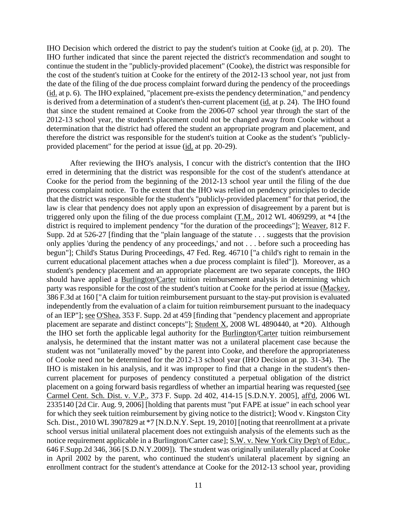IHO Decision which ordered the district to pay the student's tuition at Cooke (id. at p. 20). The IHO further indicated that since the parent rejected the district's recommendation and sought to continue the student in the "publicly-provided placement" (Cooke), the district was responsible for the cost of the student's tuition at Cooke for the entirety of the 2012-13 school year, not just from the date of the filing of the due process complaint forward during the pendency of the proceedings (id. at p. 6). The IHO explained, "placement pre-exists the pendency determination," and pendency is derived from a determination of a student's then-current placement (id. at p. 24). The IHO found that since the student remained at Cooke from the 2006-07 school year through the start of the 2012-13 school year, the student's placement could not be changed away from Cooke without a determination that the district had offered the student an appropriate program and placement, and therefore the district was responsible for the student's tuition at Cooke as the student's "publiclyprovided placement" for the period at issue (id. at pp. 20-29).

After reviewing the IHO's analysis, I concur with the district's contention that the IHO erred in determining that the district was responsible for the cost of the student's attendance at Cooke for the period from the beginning of the 2012-13 school year until the filing of the due process complaint notice. To the extent that the IHO was relied on pendency principles to decide that the district was responsible for the student's "publicly-provided placement" for that period, the law is clear that pendency does not apply upon an expression of disagreement by a parent but is triggered only upon the filing of the due process complaint (T.M., 2012 WL 4069299, at \*4 [the district is required to implement pendency "for the duration of the proceedings"]; Weaver, 812 F. Supp. 2d at 526-27 [finding that the "plain language of the statute . . . suggests that the provision only applies 'during the pendency of any proceedings,' and not . . . before such a proceeding has begun"]; Child's Status During Proceedings, 47 Fed. Reg. 46710 ["a child's right to remain in the current educational placement attaches when a due process complaint is filed"]). Moreover, as a student's pendency placement and an appropriate placement are two separate concepts, the IHO should have applied a Burlington/Carter tuition reimbursement analysis in determining which party was responsible for the cost of the student's tuition at Cooke for the period at issue (Mackey, 386 F.3d at 160 ["A claim for tuition reimbursement pursuant to the stay-put provision is evaluated independently from the evaluation of a claim for tuition reimbursement pursuant to the inadequacy of an IEP"]; see O'Shea, 353 F. Supp. 2d at 459 [finding that "pendency placement and appropriate placement are separate and distinct concepts"]; Student X, 2008 WL 4890440, at \*20). Although the IHO set forth the applicable legal authority for the Burlington/Carter tuition reimbursement analysis, he determined that the instant matter was not a unilateral placement case because the student was not "unilaterally moved" by the parent into Cooke, and therefore the appropriateness of Cooke need not be determined for the 2012-13 school year (IHO Decision at pp. 31-34). The IHO is mistaken in his analysis, and it was improper to find that a change in the student's thencurrent placement for purposes of pendency constituted a perpetual obligation of the district placement on a going forward basis regardless of whether an impartial hearing was requested (see Carmel Cent. Sch. Dist. v. V.P., 373 F. Supp. 2d 402, 414-15 [S.D.N.Y. 2005], aff'd, 2006 WL 2335140 [2d Cir. Aug. 9, 2006] [holding that parents must "put FAPE at issue" in each school year for which they seek tuition reimbursement by giving notice to the district]; Wood v. Kingston City Sch. Dist., 2010 WL 3907829 at \*7 [N.D.N.Y. Sept. 19, 2010] [noting that reenrollment at a private school versus initial unilateral placement does not extinguish analysis of the elements such as the notice requirement applicable in a Burlington/Carter case]; S.W. v. New York City Dep't of Educ., 646 F.Supp.2d 346, 366 [S.D.N.Y.2009]). The student was originally unilaterally placed at Cooke in April 2002 by the parent, who continued the student's unilateral placement by signing an enrollment contract for the student's attendance at Cooke for the 2012-13 school year, providing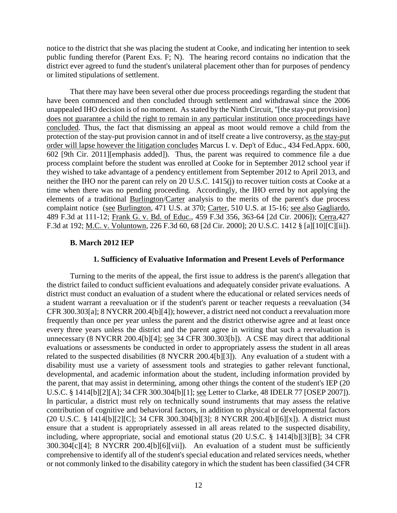notice to the district that she was placing the student at Cooke, and indicating her intention to seek public funding therefor (Parent Exs. F; N). The hearing record contains no indication that the district ever agreed to fund the student's unilateral placement other than for purposes of pendency or limited stipulations of settlement.

That there may have been several other due process proceedings regarding the student that have been commenced and then concluded through settlement and withdrawal since the 2006 unappealed IHO decision is of no moment. As stated by the Ninth Circuit, "[the stay-put provision] does not guarantee a child the right to remain in any particular institution once proceedings have concluded. Thus, the fact that dismissing an appeal as moot would remove a child from the protection of the stay-put provision cannot in and of itself create a live controversy, as the stay-put order will lapse however the litigation concludes Marcus I. v. Dep't of Educ., 434 Fed.Appx. 600, 602 [9th Cir. 2011][emphasis added]). Thus, the parent was required to commence file a due process complaint before the student was enrolled at Cooke for in September 2012 school year if they wished to take advantage of a pendency entitlement from September 2012 to April 2013, and neither the IHO nor the parent can rely on 20 U.S.C. 1415(j) to recover tuition costs at Cooke at a time when there was no pending proceeding. Accordingly, the IHO erred by not applying the elements of a traditional Burlington/Carter analysis to the merits of the parent's due process complaint notice (see Burlington, 471 U.S. at 370; Carter, 510 U.S. at 15-16; see also Gagliardo, 489 F.3d at 111-12; Frank G. v. Bd. of Educ., 459 F.3d 356, 363-64 [2d Cir. 2006]); Cerra,427 F.3d at 192; M.C. v. Voluntown, 226 F.3d 60, 68 [2d Cir. 2000]; 20 U.S.C. 1412 § [a][10][C][ii]).

#### **B. March 2012 IEP**

#### **1. Sufficiency of Evaluative Information and Present Levels of Performance**

Turning to the merits of the appeal, the first issue to address is the parent's allegation that the district failed to conduct sufficient evaluations and adequately consider private evaluations. A district must conduct an evaluation of a student where the educational or related services needs of a student warrant a reevaluation or if the student's parent or teacher requests a reevaluation (34 CFR 300.303[a]; 8 NYCRR 200.4[b][4]); however, a district need not conduct a reevaluation more frequently than once per year unless the parent and the district otherwise agree and at least once every three years unless the district and the parent agree in writing that such a reevaluation is unnecessary (8 NYCRR 200.4[b][4]; see 34 CFR 300.303[b]). A CSE may direct that additional evaluations or assessments be conducted in order to appropriately assess the student in all areas related to the suspected disabilities (8 NYCRR 200.4[b][3]). Any evaluation of a student with a disability must use a variety of assessment tools and strategies to gather relevant functional, developmental, and academic information about the student, including information provided by the parent, that may assist in determining, among other things the content of the student's IEP (20 U.S.C. § 1414[b][2][A]; 34 CFR 300.304[b][1]; see Letter to Clarke, 48 IDELR 77 [OSEP 2007]). In particular, a district must rely on technically sound instruments that may assess the relative contribution of cognitive and behavioral factors, in addition to physical or developmental factors (20 U.S.C. § 1414[b][2][C]; 34 CFR 300.304[b][3]; 8 NYCRR 200.4[b][6][x]). A district must ensure that a student is appropriately assessed in all areas related to the suspected disability, including, where appropriate, social and emotional status (20 U.S.C. § 1414[b][3][B]; 34 CFR 300.304[c][4]; 8 NYCRR 200.4[b][6][vii]). An evaluation of a student must be sufficiently comprehensive to identify all of the student's special education and related services needs, whether or not commonly linked to the disability category in which the student has been classified (34 CFR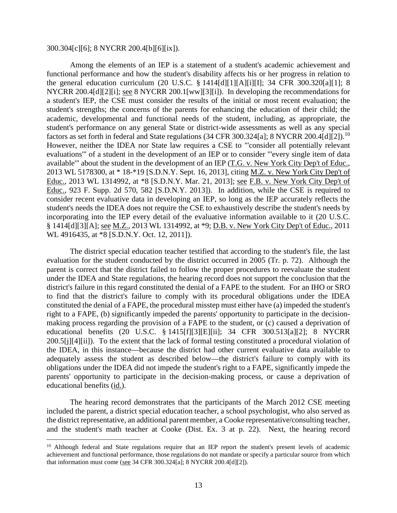#### 300.304[c][6]; 8 NYCRR 200.4[b][6][ix]).

Among the elements of an IEP is a statement of a student's academic achievement and functional performance and how the student's disability affects his or her progress in relation to the general education curriculum (20 U.S.C. § 1414[d][1][A][i][I]; 34 CFR 300.320[a][1]; 8 NYCRR 200.4[d][2][i]; see 8 NYCRR 200.1[ww][3][i]). In developing the recommendations for a student's IEP, the CSE must consider the results of the initial or most recent evaluation; the student's strengths; the concerns of the parents for enhancing the education of their child; the academic, developmental and functional needs of the student, including, as appropriate, the student's performance on any general State or district-wide assessments as well as any special factors as set forth in federal and State regulations (34 CFR 300.324[a]; 8 NYCRR 200.4[d][2]).<sup>10</sup> However, neither the IDEA nor State law requires a CSE to "'consider all potentially relevant evaluations'" of a student in the development of an IEP or to consider "'every single item of data available'" about the student in the development of an IEP (T.G. v. New York City Dep't of Educ., 2013 WL 5178300, at \* 18-\*19 [S.D.N.Y. Sept. 16, 2013], citing M.Z. v. New York City Dep't of Educ., 2013 WL 1314992, at \*8 [S.D.N.Y. Mar. 21, 2013]; see F.B. v. New York City Dep't of Educ., 923 F. Supp. 2d 570, 582 [S.D.N.Y. 2013]). In addition, while the CSE is required to consider recent evaluative data in developing an IEP, so long as the IEP accurately reflects the student's needs the IDEA does not require the CSE to exhaustively describe the student's needs by incorporating into the IEP every detail of the evaluative information available to it (20 U.S.C. § 1414[d][3][A]; see M.Z., 2013 WL 1314992, at \*9; D.B. v. New York City Dep't of Educ., 2011 WL 4916435, at \*8 [S.D.N.Y. Oct. 12, 2011]).

The district special education teacher testified that according to the student's file, the last evaluation for the student conducted by the district occurred in 2005 (Tr. p. 72). Although the parent is correct that the district failed to follow the proper procedures to reevaluate the student under the IDEA and State regulations, the hearing record does not support the conclusion that the district's failure in this regard constituted the denial of a FAPE to the student. For an IHO or SRO to find that the district's failure to comply with its procedural obligations under the IDEA constituted the denial of a FAPE, the procedural misstep must either have (a) impeded the student's right to a FAPE, (b) significantly impeded the parents' opportunity to participate in the decisionmaking process regarding the provision of a FAPE to the student, or (c) caused a deprivation of educational benefits (20 U.S.C. § 1415[f][3][E][ii]; 34 CFR 300.513[a][2]; 8 NYCRR 200.5[j][4][ii]). To the extent that the lack of formal testing constituted a procedural violation of the IDEA, in this instance—because the district had other current evaluative data available to adequately assess the student as described below—the district's failure to comply with its obligations under the IDEA did not impede the student's right to a FAPE, significantly impede the parents' opportunity to participate in the decision-making process, or cause a deprivation of educational benefits (id.).

The hearing record demonstrates that the participants of the March 2012 CSE meeting included the parent, a district special education teacher, a school psychologist, who also served as the district representative, an additional parent member, a Cooke representative/consulting teacher, and the student's math teacher at Cooke (Dist. Ex. 3 at p. 22). Next, the hearing record

<sup>&</sup>lt;sup>10</sup> Although federal and State regulations require that an IEP report the student's present levels of academic achievement and functional performance, those regulations do not mandate or specify a particular source from which that information must come (see 34 CFR 300.324[a]; 8 NYCRR 200.4[d][2]).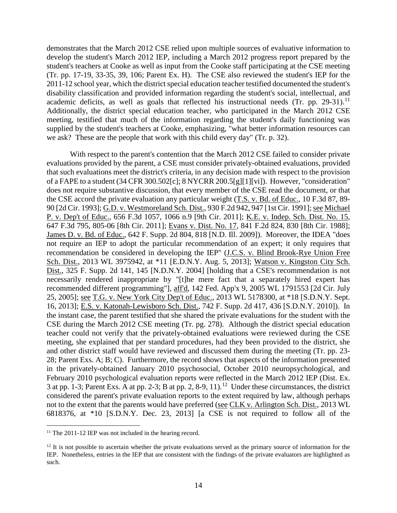demonstrates that the March 2012 CSE relied upon multiple sources of evaluative information to develop the student's March 2012 IEP, including a March 2012 progress report prepared by the student's teachers at Cooke as well as input from the Cooke staff participating at the CSE meeting (Tr. pp. 17-19, 33-35, 39, 106; Parent Ex. H). The CSE also reviewed the student's IEP for the 2011-12 school year, which the district special education teacher testified documented the student's disability classification and provided information regarding the student's social, intellectual, and academic deficits, as well as goals that reflected his instructional needs (Tr. pp. 29-31).<sup>11</sup> Additionally, the district special education teacher, who participated in the March 2012 CSE meeting, testified that much of the information regarding the student's daily functioning was supplied by the student's teachers at Cooke, emphasizing, "what better information resources can we ask? These are the people that work with this child every day" (Tr. p. 32).

With respect to the parent's contention that the March 2012 CSE failed to consider private evaluations provided by the parent, a CSE must consider privately-obtained evaluations, provided that such evaluations meet the district's criteria, in any decision made with respect to the provision of a FAPE to a student (34 CFR 300.502[c]; 8 NYCRR 200.5[g][1][vi]). However, "consideration" does not require substantive discussion, that every member of the CSE read the document, or that the CSE accord the private evaluation any particular weight (T.S. v. Bd. of Educ., 10 F.3d 87, 89- 90 [2d Cir. 1993]; G.D. v. Westmoreland Sch. Dist., 930 F.2d 942, 947 [1st Cir. 1991]; see Michael P. v. Dep't of Educ., 656 F.3d 1057, 1066 n.9 [9th Cir. 2011]; K.E. v. Indep. Sch. Dist. No. 15, 647 F.3d 795, 805-06 [8th Cir. 2011]; Evans v. Dist. No. 17, 841 F.2d 824, 830 [8th Cir. 1988]; James D. v. Bd. of Educ., 642 F. Supp. 2d 804, 818 [N.D. Ill. 2009]). Moreover, the IDEA "does not require an IEP to adopt the particular recommendation of an expert; it only requires that recommendation be considered in developing the IEP" (J.C.S. v. Blind Brook-Rye Union Free Sch. Dist., 2013 WL 3975942, at \*11 [E.D.N.Y. Aug. 5, 2013]; Watson v. Kingston City Sch. Dist., 325 F. Supp. 2d 141, 145 [N.D.N.Y. 2004] [holding that a CSE's recommendation is not necessarily rendered inappropriate by "[t]he mere fact that a separately hired expert has recommended different programming"], aff'd, 142 Fed. App'x 9, 2005 WL 1791553 [2d Cir. July 25, 2005]; see T.G. v. New York City Dep't of Educ., 2013 WL 5178300, at \*18 [S.D.N.Y. Sept. 16, 2013]; E.S. v. Katonah-Lewisboro Sch. Dist., 742 F. Supp. 2d 417, 436 [S.D.N.Y. 2010]). In the instant case, the parent testified that she shared the private evaluations for the student with the CSE during the March 2012 CSE meeting (Tr. pg. 278). Although the district special education teacher could not verify that the privately-obtained evaluations were reviewed during the CSE meeting, she explained that per standard procedures, had they been provided to the district, she and other district staff would have reviewed and discussed them during the meeting (Tr. pp. 23- 28; Parent Exs. A; B; C). Furthermore, the record shows that aspects of the information presented in the privately-obtained January 2010 psychosocial, October 2010 neuropsychological, and February 2010 psychological evaluation reports were reflected in the March 2012 IEP (Dist. Ex. 3 at pp. 1-3; Parent Exs. A at pp. 2-3; B at pp. 2, 8-9, 11).<sup>12</sup> Under these circumstances, the district considered the parent's private evaluation reports to the extent required by law, although perhaps not to the extent that the parents would have preferred (see CLK v. Arlington Sch. Dist., 2013 WL 6818376, at \*10 [S.D.N.Y. Dec. 23, 2013] [a CSE is not required to follow all of the

<sup>&</sup>lt;sup>11</sup> The 2011-12 IEP was not included in the hearing record.

 $12$  It is not possible to ascertain whether the private evaluations served as the primary source of information for the IEP. Nonetheless, entries in the IEP that are consistent with the findings of the private evaluators are highlighted as such.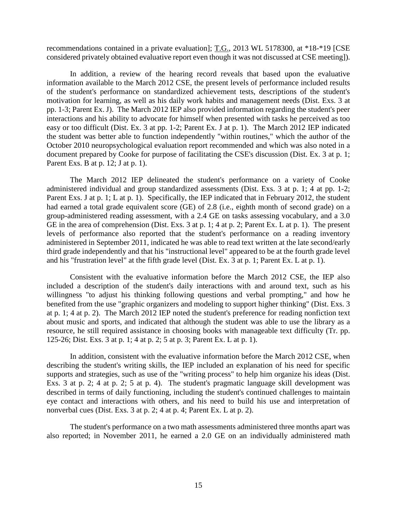recommendations contained in a private evaluation]; T.G., 2013 WL 5178300, at \*18-\*19 [CSE considered privately obtained evaluative report even though it was not discussed at CSE meeting]).

In addition, a review of the hearing record reveals that based upon the evaluative information available to the March 2012 CSE, the present levels of performance included results of the student's performance on standardized achievement tests, descriptions of the student's motivation for learning, as well as his daily work habits and management needs (Dist. Exs. 3 at pp. 1-3; Parent Ex. J). The March 2012 IEP also provided information regarding the student's peer interactions and his ability to advocate for himself when presented with tasks he perceived as too easy or too difficult (Dist. Ex. 3 at pp. 1-2; Parent Ex. J at p. 1). The March 2012 IEP indicated the student was better able to function independently "within routines," which the author of the October 2010 neuropsychological evaluation report recommended and which was also noted in a document prepared by Cooke for purpose of facilitating the CSE's discussion (Dist. Ex. 3 at p. 1; Parent Exs. B at p. 12; J at p. 1).

The March 2012 IEP delineated the student's performance on a variety of Cooke administered individual and group standardized assessments (Dist. Exs. 3 at p. 1; 4 at pp. 1-2; Parent Exs. J at p. 1; L at p. 1). Specifically, the IEP indicated that in February 2012, the student had earned a total grade equivalent score (GE) of 2.8 (i.e., eighth month of second grade) on a group-administered reading assessment, with a 2.4 GE on tasks assessing vocabulary, and a 3.0 GE in the area of comprehension (Dist. Exs. 3 at p. 1; 4 at p. 2; Parent Ex. L at p. 1). The present levels of performance also reported that the student's performance on a reading inventory administered in September 2011, indicated he was able to read text written at the late second/early third grade independently and that his "instructional level" appeared to be at the fourth grade level and his "frustration level" at the fifth grade level (Dist. Ex. 3 at p. 1; Parent Ex. L at p. 1).

Consistent with the evaluative information before the March 2012 CSE, the IEP also included a description of the student's daily interactions with and around text, such as his willingness "to adjust his thinking following questions and verbal prompting," and how he benefited from the use "graphic organizers and modeling to support higher thinking" (Dist. Exs. 3 at p. 1; 4 at p. 2). The March 2012 IEP noted the student's preference for reading nonfiction text about music and sports, and indicated that although the student was able to use the library as a resource, he still required assistance in choosing books with manageable text difficulty (Tr. pp. 125-26; Dist. Exs. 3 at p. 1; 4 at p. 2; 5 at p. 3; Parent Ex. L at p. 1).

In addition, consistent with the evaluative information before the March 2012 CSE, when describing the student's writing skills, the IEP included an explanation of his need for specific supports and strategies, such as use of the "writing process" to help him organize his ideas (Dist. Exs. 3 at p. 2; 4 at p. 2; 5 at p. 4). The student's pragmatic language skill development was described in terms of daily functioning, including the student's continued challenges to maintain eye contact and interactions with others, and his need to build his use and interpretation of nonverbal cues (Dist. Exs. 3 at p. 2; 4 at p. 4; Parent Ex. L at p. 2).

The student's performance on a two math assessments administered three months apart was also reported; in November 2011, he earned a 2.0 GE on an individually administered math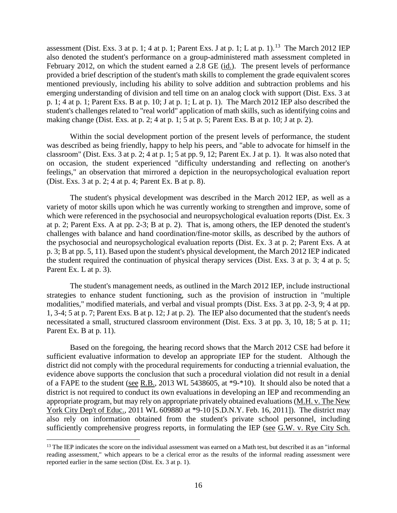assessment (Dist. Exs. 3 at p. 1; 4 at p. 1; Parent Exs. J at p. 1; L at p. 1).<sup>13</sup> The March 2012 IEP also denoted the student's performance on a group-administered math assessment completed in February 2012, on which the student earned a 2.8 GE (id.). The present levels of performance provided a brief description of the student's math skills to complement the grade equivalent scores mentioned previously, including his ability to solve addition and subtraction problems and his emerging understanding of division and tell time on an analog clock with support (Dist. Exs. 3 at p. 1; 4 at p. 1; Parent Exs. B at p. 10; J at p. 1; L at p. 1). The March 2012 IEP also described the student's challenges related to "real world" application of math skills, such as identifying coins and making change (Dist. Exs. at p. 2; 4 at p. 1; 5 at p. 5; Parent Exs. B at p. 10; J at p. 2).

Within the social development portion of the present levels of performance, the student was described as being friendly, happy to help his peers, and "able to advocate for himself in the classroom" (Dist. Exs. 3 at p. 2; 4 at p. 1; 5 at pp. 9, 12; Parent Ex. J at p. 1). It was also noted that on occasion, the student experienced "difficulty understanding and reflecting on another's feelings," an observation that mirrored a depiction in the neuropsychological evaluation report (Dist. Exs. 3 at p. 2; 4 at p. 4; Parent Ex. B at p. 8).

The student's physical development was described in the March 2012 IEP, as well as a variety of motor skills upon which he was currently working to strengthen and improve, some of which were referenced in the psychosocial and neuropsychological evaluation reports (Dist. Ex. 3 at p. 2; Parent Exs. A at pp. 2-3; B at p. 2). That is, among others, the IEP denoted the student's challenges with balance and hand coordination/fine-motor skills, as described by the authors of the psychosocial and neuropsychological evaluation reports (Dist. Ex. 3 at p. 2; Parent Exs. A at p. 3; B at pp. 5, 11). Based upon the student's physical development, the March 2012 IEP indicated the student required the continuation of physical therapy services (Dist. Exs. 3 at p. 3; 4 at p. 5; Parent Ex. L at p. 3).

The student's management needs, as outlined in the March 2012 IEP, include instructional strategies to enhance student functioning, such as the provision of instruction in "multiple modalities," modified materials, and verbal and visual prompts (Dist. Exs. 3 at pp. 2-3, 9; 4 at pp. 1, 3-4; 5 at p. 7; Parent Exs. B at p. 12; J at p. 2). The IEP also documented that the student's needs necessitated a small, structured classroom environment (Dist. Exs. 3 at pp. 3, 10, 18; 5 at p. 11; Parent Ex. B at p. 11).

Based on the foregoing, the hearing record shows that the March 2012 CSE had before it sufficient evaluative information to develop an appropriate IEP for the student. Although the district did not comply with the procedural requirements for conducting a triennial evaluation, the evidence above supports the conclusion that such a procedural violation did not result in a denial of a FAPE to the student (see R.B., 2013 WL 5438605, at \*9-\*10). It should also be noted that a district is not required to conduct its own evaluations in developing an IEP and recommending an appropriate program, but may rely on appropriate privately obtained evaluations (M.H. v. The New York City Dep't of Educ., 2011 WL 609880 at \*9-10 [S.D.N.Y. Feb. 16, 2011]). The district may also rely on information obtained from the student's private school personnel, including sufficiently comprehensive progress reports, in formulating the IEP (see G.W. v. Rye City Sch.

<sup>&</sup>lt;sup>13</sup> The IEP indicates the score on the individual assessment was earned on a Math test, but described it as an "informal" reading assessment," which appears to be a clerical error as the results of the informal reading assessment were reported earlier in the same section (Dist. Ex. 3 at p. 1).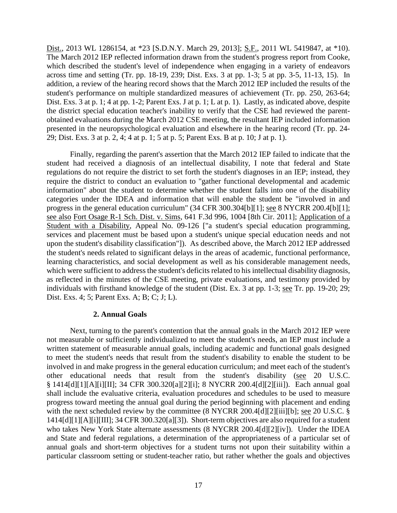Dist., 2013 WL 1286154, at \*23 [S.D.N.Y. March 29, 2013]; S.F., 2011 WL 5419847, at \*10). The March 2012 IEP reflected information drawn from the student's progress report from Cooke, which described the student's level of independence when engaging in a variety of endeavors across time and setting (Tr. pp. 18-19, 239; Dist. Exs. 3 at pp. 1-3; 5 at pp. 3-5, 11-13, 15). In addition, a review of the hearing record shows that the March 2012 IEP included the results of the student's performance on multiple standardized measures of achievement (Tr. pp. 250, 263-64; Dist. Exs. 3 at p. 1; 4 at pp. 1-2; Parent Exs. J at p. 1; L at p. 1). Lastly, as indicated above, despite the district special education teacher's inability to verify that the CSE had reviewed the parentobtained evaluations during the March 2012 CSE meeting, the resultant IEP included information presented in the neuropsychological evaluation and elsewhere in the hearing record (Tr. pp. 24- 29; Dist. Exs. 3 at p. 2, 4; 4 at p. 1; 5 at p. 5; Parent Exs. B at p. 10; J at p. 1).

Finally, regarding the parent's assertion that the March 2012 IEP failed to indicate that the student had received a diagnosis of an intellectual disability, I note that federal and State regulations do not require the district to set forth the student's diagnoses in an IEP; instead, they require the district to conduct an evaluation to "gather functional developmental and academic information" about the student to determine whether the student falls into one of the disability categories under the IDEA and information that will enable the student be "involved in and progress in the general education curriculum" (34 CFR 300.304[b][1]; see 8 NYCRR 200.4[b][1]; see also Fort Osage R-1 Sch. Dist. v. Sims, 641 F.3d 996, 1004 [8th Cir. 2011]; Application of a Student with a Disability, Appeal No. 09-126 ["a student's special education programming, services and placement must be based upon a student's unique special education needs and not upon the student's disability classification"]). As described above, the March 2012 IEP addressed the student's needs related to significant delays in the areas of academic, functional performance, learning characteristics, and social development as well as his considerable management needs, which were sufficient to address the student's deficits related to his intellectual disability diagnosis, as reflected in the minutes of the CSE meeting, private evaluations, and testimony provided by individuals with firsthand knowledge of the student (Dist. Ex. 3 at pp. 1-3; see Tr. pp. 19-20; 29; Dist. Exs. 4; 5; Parent Exs. A; B; C; J; L).

# **2. Annual Goals**

Next, turning to the parent's contention that the annual goals in the March 2012 IEP were not measurable or sufficiently individualized to meet the student's needs, an IEP must include a written statement of measurable annual goals, including academic and functional goals designed to meet the student's needs that result from the student's disability to enable the student to be involved in and make progress in the general education curriculum; and meet each of the student's other educational needs that result from the student's disability (see 20 U.S.C. § 1414[d][1][A][i][II]; 34 CFR 300.320[a][2][i]; 8 NYCRR 200.4[d][2][iii]). Each annual goal shall include the evaluative criteria, evaluation procedures and schedules to be used to measure progress toward meeting the annual goal during the period beginning with placement and ending with the next scheduled review by the committee (8 NYCRR 200.4[d][2][iii][b]; see 20 U.S.C. § 1414[d][1][A][i][III]; 34 CFR 300.320[a][3]). Short-term objectives are also required for a student who takes New York State alternate assessments (8 NYCRR 200.4[d][2][iv]). Under the IDEA and State and federal regulations, a determination of the appropriateness of a particular set of annual goals and short-term objectives for a student turns not upon their suitability within a particular classroom setting or student-teacher ratio, but rather whether the goals and objectives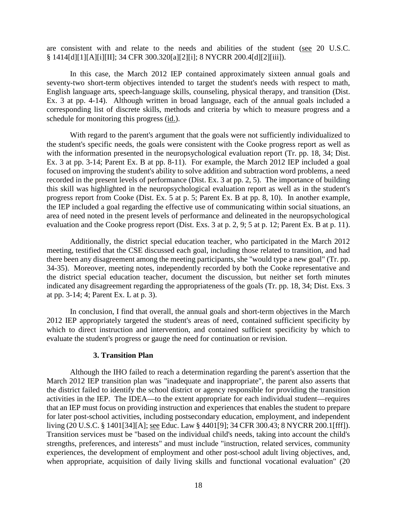are consistent with and relate to the needs and abilities of the student (see 20 U.S.C. § 1414[d][1][A][i][II]; 34 CFR 300.320[a][2][i]; 8 NYCRR 200.4[d][2][iii]).

In this case, the March 2012 IEP contained approximately sixteen annual goals and seventy-two short-term objectives intended to target the student's needs with respect to math, English language arts, speech-language skills, counseling, physical therapy, and transition (Dist. Ex. 3 at pp. 4-14). Although written in broad language, each of the annual goals included a corresponding list of discrete skills, methods and criteria by which to measure progress and a schedule for monitoring this progress (id.).

With regard to the parent's argument that the goals were not sufficiently individualized to the student's specific needs, the goals were consistent with the Cooke progress report as well as with the information presented in the neuropsychological evaluation report (Tr. pp. 18, 34; Dist. Ex. 3 at pp. 3-14; Parent Ex. B at pp. 8-11). For example, the March 2012 IEP included a goal focused on improving the student's ability to solve addition and subtraction word problems, a need recorded in the present levels of performance (Dist. Ex. 3 at pp. 2, 5). The importance of building this skill was highlighted in the neuropsychological evaluation report as well as in the student's progress report from Cooke (Dist. Ex. 5 at p. 5; Parent Ex. B at pp. 8, 10). In another example, the IEP included a goal regarding the effective use of communicating within social situations, an area of need noted in the present levels of performance and delineated in the neuropsychological evaluation and the Cooke progress report (Dist. Exs. 3 at p. 2, 9; 5 at p. 12; Parent Ex. B at p. 11).

Additionally, the district special education teacher, who participated in the March 2012 meeting, testified that the CSE discussed each goal, including those related to transition, and had there been any disagreement among the meeting participants, she "would type a new goal" (Tr. pp. 34-35). Moreover, meeting notes, independently recorded by both the Cooke representative and the district special education teacher, document the discussion, but neither set forth minutes indicated any disagreement regarding the appropriateness of the goals (Tr. pp. 18, 34; Dist. Exs. 3 at pp. 3-14; 4; Parent Ex. L at p. 3).

In conclusion, I find that overall, the annual goals and short-term objectives in the March 2012 IEP appropriately targeted the student's areas of need, contained sufficient specificity by which to direct instruction and intervention, and contained sufficient specificity by which to evaluate the student's progress or gauge the need for continuation or revision.

# **3. Transition Plan**

Although the IHO failed to reach a determination regarding the parent's assertion that the March 2012 IEP transition plan was "inadequate and inappropriate", the parent also asserts that the district failed to identify the school district or agency responsible for providing the transition activities in the IEP. The IDEA—to the extent appropriate for each individual student—requires that an IEP must focus on providing instruction and experiences that enables the student to prepare for later post-school activities, including postsecondary education, employment, and independent living (20 U.S.C. § 1401[34][A]; see Educ. Law § 4401[9]; 34 CFR 300.43; 8 NYCRR 200.1[fff]). Transition services must be "based on the individual child's needs, taking into account the child's strengths, preferences, and interests" and must include "instruction, related services, community experiences, the development of employment and other post-school adult living objectives, and, when appropriate, acquisition of daily living skills and functional vocational evaluation" (20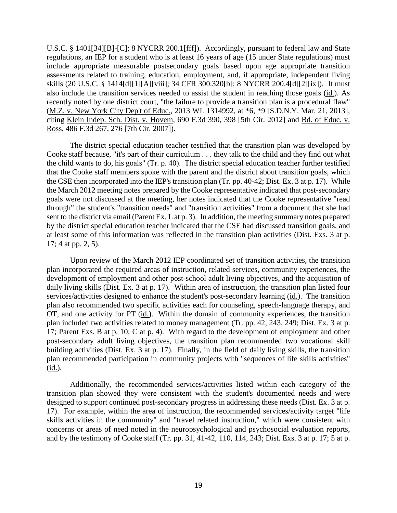U.S.C. § 1401[34][B]-[C]; 8 NYCRR 200.1[fff]). Accordingly, pursuant to federal law and State regulations, an IEP for a student who is at least 16 years of age (15 under State regulations) must include appropriate measurable postsecondary goals based upon age appropriate transition assessments related to training, education, employment, and, if appropriate, independent living skills (20 U.S.C. § 1414[d][1][A][viii]; 34 CFR 300.320[b]; 8 NYCRR 200.4[d][2][ix]). It must also include the transition services needed to assist the student in reaching those goals (id.). As recently noted by one district court, "the failure to provide a transition plan is a procedural flaw" (M.Z. v. New York City Dep't of Educ., 2013 WL 1314992, at \*6, \*9 [S.D.N.Y. Mar. 21, 2013], citing Klein Indep. Sch. Dist. v. Hovem, 690 F.3d 390, 398 [5th Cir. 2012] and Bd. of Educ. v. Ross, 486 F.3d 267, 276 [7th Cir. 2007]).

The district special education teacher testified that the transition plan was developed by Cooke staff because, "it's part of their curriculum . . . they talk to the child and they find out what the child wants to do, his goals" (Tr. p. 40). The district special education teacher further testified that the Cooke staff members spoke with the parent and the district about transition goals, which the CSE then incorporated into the IEP's transition plan (Tr. pp. 40-42; Dist. Ex. 3 at p. 17). While the March 2012 meeting notes prepared by the Cooke representative indicated that post-secondary goals were not discussed at the meeting, her notes indicated that the Cooke representative "read through" the student's "transition needs" and "transition activities" from a document that she had sent to the district via email (Parent Ex. L at p. 3). In addition, the meeting summary notes prepared by the district special education teacher indicated that the CSE had discussed transition goals, and at least some of this information was reflected in the transition plan activities (Dist. Exs. 3 at p. 17; 4 at pp. 2, 5).

Upon review of the March 2012 IEP coordinated set of transition activities, the transition plan incorporated the required areas of instruction, related services, community experiences, the development of employment and other post-school adult living objectives, and the acquisition of daily living skills (Dist. Ex. 3 at p. 17). Within area of instruction, the transition plan listed four services/activities designed to enhance the student's post-secondary learning (id.). The transition plan also recommended two specific activities each for counseling, speech-language therapy, and OT, and one activity for PT (id.). Within the domain of community experiences, the transition plan included two activities related to money management (Tr. pp. 42, 243, 249; Dist. Ex. 3 at p. 17; Parent Exs. B at p. 10; C at p. 4). With regard to the development of employment and other post-secondary adult living objectives, the transition plan recommended two vocational skill building activities (Dist. Ex. 3 at p. 17). Finally, in the field of daily living skills, the transition plan recommended participation in community projects with "sequences of life skills activities" (id.).

Additionally, the recommended services/activities listed within each category of the transition plan showed they were consistent with the student's documented needs and were designed to support continued post-secondary progress in addressing these needs (Dist. Ex. 3 at p. 17). For example, within the area of instruction, the recommended services/activity target "life skills activities in the community" and "travel related instruction," which were consistent with concerns or areas of need noted in the neuropsychological and psychosocial evaluation reports, and by the testimony of Cooke staff (Tr. pp. 31, 41-42, 110, 114, 243; Dist. Exs. 3 at p. 17; 5 at p.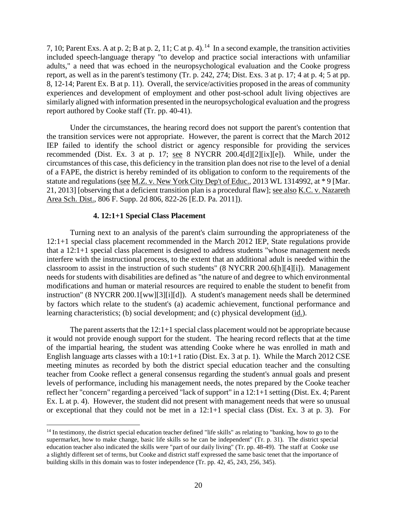7, 10; Parent Exs. A at p. 2; B at p. 2, 11; C at p. 4).<sup>14</sup> In a second example, the transition activities included speech-language therapy "to develop and practice social interactions with unfamiliar adults," a need that was echoed in the neuropsychological evaluation and the Cooke progress report, as well as in the parent's testimony (Tr. p. 242, 274; Dist. Exs. 3 at p. 17; 4 at p. 4; 5 at pp. 8, 12-14; Parent Ex. B at p. 11). Overall, the service/activities proposed in the areas of community experiences and development of employment and other post-school adult living objectives are similarly aligned with information presented in the neuropsychological evaluation and the progress report authored by Cooke staff (Tr. pp. 40-41).

Under the circumstances, the hearing record does not support the parent's contention that the transition services were not appropriate. However, the parent is correct that the March 2012 IEP failed to identify the school district or agency responsible for providing the services recommended (Dist. Ex. 3 at p. 17; see 8 NYCRR 200.4[d][2][ix][e]). While, under the circumstances of this case, this deficiency in the transition plan does not rise to the level of a denial of a FAPE, the district is hereby reminded of its obligation to conform to the requirements of the statute and regulations (see M.Z. v. New York City Dep't of Educ., 2013 WL 1314992, at \* 9 [Mar. 21, 2013] [observing that a deficient transition plan is a procedural flaw]; see also K.C. v. Nazareth Area Sch. Dist., 806 F. Supp. 2d 806, 822-26 [E.D. Pa. 2011]).

#### **4. 12:1+1 Special Class Placement**

Turning next to an analysis of the parent's claim surrounding the appropriateness of the 12:1+1 special class placement recommended in the March 2012 IEP, State regulations provide that a 12:1+1 special class placement is designed to address students "whose management needs interfere with the instructional process, to the extent that an additional adult is needed within the classroom to assist in the instruction of such students" (8 NYCRR 200.6[h][4][i]). Management needs for students with disabilities are defined as "the nature of and degree to which environmental modifications and human or material resources are required to enable the student to benefit from instruction" (8 NYCRR 200.1[ww][3][i][d]). A student's management needs shall be determined by factors which relate to the student's (a) academic achievement, functional performance and learning characteristics; (b) social development; and (c) physical development (id.).

The parent asserts that the  $12:1+1$  special class placement would not be appropriate because it would not provide enough support for the student. The hearing record reflects that at the time of the impartial hearing, the student was attending Cooke where he was enrolled in math and English language arts classes with a 10:1+1 ratio (Dist. Ex. 3 at p. 1). While the March 2012 CSE meeting minutes as recorded by both the district special education teacher and the consulting teacher from Cooke reflect a general consensus regarding the student's annual goals and present levels of performance, including his management needs, the notes prepared by the Cooke teacher reflect her "concern" regarding a perceived "lack of support" in a 12:1+1 setting (Dist. Ex. 4; Parent Ex. L at p. 4). However, the student did not present with management needs that were so unusual or exceptional that they could not be met in a 12:1+1 special class (Dist. Ex. 3 at p. 3). For

<sup>&</sup>lt;sup>14</sup> In testimony, the district special education teacher defined "life skills" as relating to "banking, how to go to the supermarket, how to make change, basic life skills so he can be independent" (Tr. p. 31). The district special education teacher also indicated the skills were "part of our daily living" (Tr. pp. 48-49). The staff at Cooke use a slightly different set of terms, but Cooke and district staff expressed the same basic tenet that the importance of building skills in this domain was to foster independence (Tr. pp. 42, 45, 243, 256, 345).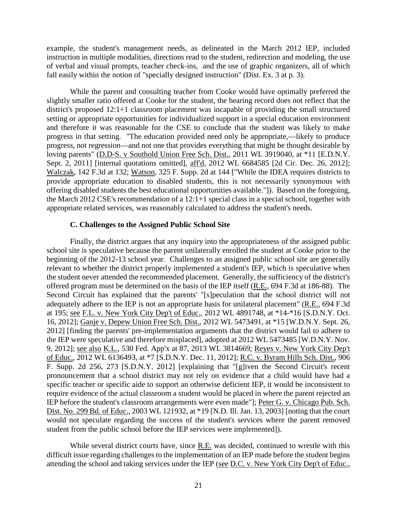example, the student's management needs, as delineated in the March 2012 IEP, included instruction in multiple modalities, directions read to the student, redirection and modeling, the use of verbal and visual prompts, teacher check-ins, and the use of graphic organizers, all of which fall easily within the notion of "specially designed instruction" (Dist. Ex. 3 at p. 3).

While the parent and consulting teacher from Cooke would have optimally preferred the slightly smaller ratio offered at Cooke for the student, the hearing record does not reflect that the district's proposed 12:1+1 classroom placement was incapable of providing the small structured setting or appropriate opportunities for individualized support in a special education environment and therefore it was reasonable for the CSE to conclude that the student was likely to make progress in that setting. "The education provided need only be appropriate,—likely to produce progress, not regression—and not one that provides everything that might be thought desirable by loving parents" (D.D-S. v Southold Union Free Sch. Dist., 2011 WL 3919040, at \*11 [E.D.N.Y. Sept. 2, 2011] [internal quotations omitted], aff'd, 2012 WL 6684585 [2d Cir. Dec. 26, 2012]; Walczak, 142 F.3d at 132; Watson, 325 F. Supp. 2d at 144 ["While the IDEA requires districts to provide appropriate education to disabled students, this is not necessarily synonymous with offering disabled students the best educational opportunities available."]). Based on the foregoing, the March 2012 CSE's recommendation of a 12:1+1 special class in a special school, together with appropriate related services, was reasonably calculated to address the student's needs.

#### **C. Challenges to the Assigned Public School Site**

Finally, the district argues that any inquiry into the appropriateness of the assigned public school site is speculative because the parent unilaterally enrolled the student at Cooke prior to the beginning of the 2012-13 school year. Challenges to an assigned public school site are generally relevant to whether the district properly implemented a student's IEP, which is speculative when the student never attended the recommended placement. Generally, the sufficiency of the district's offered program must be determined on the basis of the IEP itself (R.E., 694 F.3d at 186-88). The Second Circuit has explained that the parents' "[s]peculation that the school district will not adequately adhere to the IEP is not an appropriate basis for unilateral placement" (R.E., 694 F.3d at 195; see F.L. v. New York City Dep't of Educ., 2012 WL 4891748, at \*14-\*16 [S.D.N.Y. Oct. 16, 2012]; Ganje v. Depew Union Free Sch. Dist., 2012 WL 5473491, at \*15 [W.D.N.Y. Sept. 26, 2012] [finding the parents' pre-implementation arguments that the district would fail to adhere to the IEP were speculative and therefore misplaced], adopted at 2012 WL 5473485 [W.D.N.Y. Nov. 9, 2012]; see also K.L., 530 Fed. App'x at 87, 2013 WL 3814669; Reyes v. New York City Dep't of Educ., 2012 WL 6136493, at \*7 [S.D.N.Y. Dec. 11, 2012]; R.C. v. Byram Hills Sch. Dist., 906 F. Supp. 2d 256, 273 [S.D.N.Y. 2012] [explaining that "[g]iven the Second Circuit's recent pronouncement that a school district may not rely on evidence that a child would have had a specific teacher or specific aide to support an otherwise deficient IEP, it would be inconsistent to require evidence of the actual classroom a student would be placed in where the parent rejected an IEP before the student's classroom arrangements were even made"]; Peter G. v. Chicago Pub. Sch. Dist. No. 299 Bd. of Educ., 2003 WL 121932, at \*19 [N.D. Ill. Jan. 13, 2003] [noting that the court would not speculate regarding the success of the student's services where the parent removed student from the public school before the IEP services were implemented]).

While several district courts have, since R.E. was decided, continued to wrestle with this difficult issue regarding challenges to the implementation of an IEP made before the student begins attending the school and taking services under the IEP (see D.C. v. New York City Dep't of Educ.,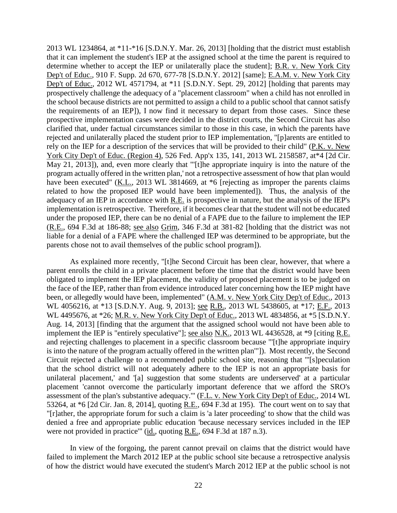2013 WL 1234864, at \*11-\*16 [S.D.N.Y. Mar. 26, 2013] [holding that the district must establish that it can implement the student's IEP at the assigned school at the time the parent is required to determine whether to accept the IEP or unilaterally place the student]; B.R. v. New York City Dep't of Educ., 910 F. Supp. 2d 670, 677-78 [S.D.N.Y. 2012] [same]; E.A.M. v. New York City Dep't of Educ., 2012 WL 4571794, at \*11 [S.D.N.Y. Sept. 29, 2012] [holding that parents may prospectively challenge the adequacy of a "placement classroom" when a child has not enrolled in the school because districts are not permitted to assign a child to a public school that cannot satisfy the requirements of an IEP]), I now find it necessary to depart from those cases. Since these prospective implementation cases were decided in the district courts, the Second Circuit has also clarified that, under factual circumstances similar to those in this case, in which the parents have rejected and unilaterally placed the student prior to IEP implementation, "[p]arents are entitled to rely on the IEP for a description of the services that will be provided to their child" (P.K. v. New York City Dep't of Educ. (Region 4), 526 Fed. App'x 135, 141, 2013 WL 2158587, at\*4 [2d Cir. May 21, 2013]), and, even more clearly that "'[t]he appropriate inquiry is into the nature of the program actually offered in the written plan,' not a retrospective assessment of how that plan would have been executed" (K.L., 2013 WL 3814669, at  $*6$  [rejecting as improper the parents claims related to how the proposed IEP would have been implemented]). Thus, the analysis of the adequacy of an IEP in accordance with R.E. is prospective in nature, but the analysis of the IEP's implementation is retrospective. Therefore, if it becomes clear that the student will not be educated under the proposed IEP, there can be no denial of a FAPE due to the failure to implement the IEP (R.E., 694 F.3d at 186-88; see also Grim, 346 F.3d at 381-82 [holding that the district was not liable for a denial of a FAPE where the challenged IEP was determined to be appropriate, but the parents chose not to avail themselves of the public school program]).

As explained more recently, "[t]he Second Circuit has been clear, however, that where a parent enrolls the child in a private placement before the time that the district would have been obligated to implement the IEP placement, the validity of proposed placement is to be judged on the face of the IEP, rather than from evidence introduced later concerning how the IEP might have been, or allegedly would have been, implemented" (A.M. v. New York City Dep't of Educ., 2013 WL 4056216, at \*13 [S.D.N.Y. Aug. 9, 2013]; <u>see R.B.</u>, 2013 WL 5438605, at \*17; E.F., 2013 WL 4495676, at \*26; M.R. v. New York City Dep't of Educ., 2013 WL 4834856, at \*5 [S.D.N.Y. Aug. 14, 2013] [finding that the argument that the assigned school would not have been able to implement the IEP is "entirely speculative"]; see also N.K., 2013 WL 4436528, at \*9 [citing R.E. and rejecting challenges to placement in a specific classroom because "'[t]he appropriate inquiry is into the nature of the program actually offered in the written plan'"]). Most recently, the Second Circuit rejected a challenge to a recommended public school site, reasoning that "'[s]peculation that the school district will not adequately adhere to the IEP is not an appropriate basis for unilateral placement,' and '[a] suggestion that some students are underserved' at a particular placement 'cannot overcome the particularly important deference that we afford the SRO's assessment of the plan's substantive adequacy.'" (F.L. v. New York City Dep't of Educ., 2014 WL 53264, at \*6 [2d Cir. Jan. 8, 2014], quoting R.E., 694 F.3d at 195). The court went on to say that "[r]ather, the appropriate forum for such a claim is 'a later proceeding' to show that the child was denied a free and appropriate public education 'because necessary services included in the IEP were not provided in practice'" (id., quoting R.E., 694 F.3d at 187 n.3).

In view of the forgoing, the parent cannot prevail on claims that the district would have failed to implement the March 2012 IEP at the public school site because a retrospective analysis of how the district would have executed the student's March 2012 IEP at the public school is not